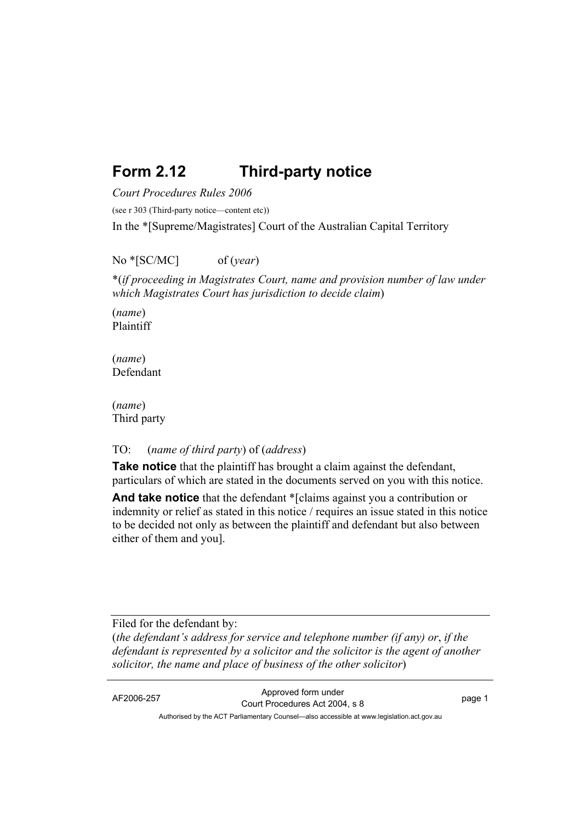# **Form 2.12 Third-party notice**

*Court Procedures Rules 2006*

(see r 303 (Third-party notice—content etc))

In the \*[Supreme/Magistrates] Court of the Australian Capital Territory

No \*[SC/MC] of (*year*)

\*(*if proceeding in Magistrates Court, name and provision number of law under which Magistrates Court has jurisdiction to decide claim*)

(*name*) Plaintiff

(*name*) Defendant

(*name*) Third party

#### TO: (*name of third party*) of (*address*)

**Take notice** that the plaintiff has brought a claim against the defendant, particulars of which are stated in the documents served on you with this notice.

**And take notice** that the defendant \*[claims against you a contribution or indemnity or relief as stated in this notice / requires an issue stated in this notice to be decided not only as between the plaintiff and defendant but also between either of them and you].

Filed for the defendant by:

(*the defendant's address for service and telephone number (if any) or*, *if the defendant is represented by a solicitor and the solicitor is the agent of another solicitor, the name and place of business of the other solicitor*)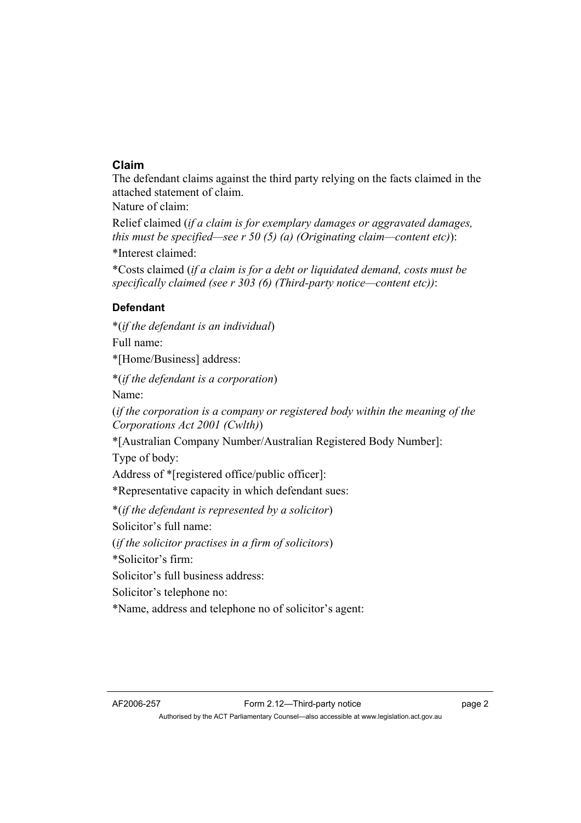### **Claim**

The defendant claims against the third party relying on the facts claimed in the attached statement of claim.

Nature of claim:

Relief claimed (*if a claim is for exemplary damages or aggravated damages, this must be specified—see r 50 (5) (a) (Originating claim—content etc)*):

\*Interest claimed:

\*Costs claimed (*if a claim is for a debt or liquidated demand, costs must be specifically claimed (see r 303 (6) (Third-party notice—content etc))*:

## **Defendant**

\*(*if the defendant is an individual*)

Full name:

\*[Home/Business] address:

\*(*if the defendant is a corporation*) Name:

(*if the corporation is a company or registered body within the meaning of the Corporations Act 2001 (Cwlth)*)

\*[Australian Company Number/Australian Registered Body Number]:

Type of body:

Address of \*[registered office/public officer]:

\*Representative capacity in which defendant sues:

\*(*if the defendant is represented by a solicitor*)

Solicitor's full name:

(*if the solicitor practises in a firm of solicitors*)

\*Solicitor's firm:

Solicitor's full business address:

Solicitor's telephone no:

\*Name, address and telephone no of solicitor's agent: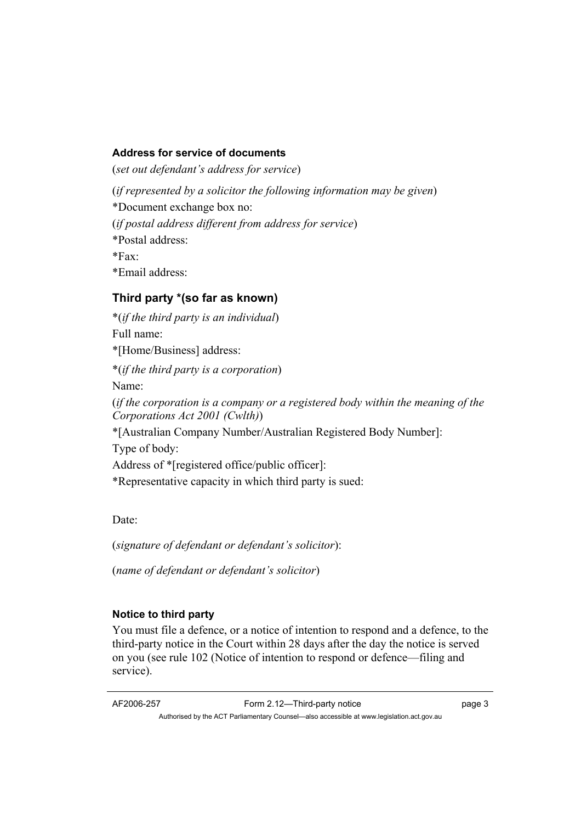#### **Address for service of documents**

(*set out defendant's address for service*)

(*if represented by a solicitor the following information may be given*)

\*Document exchange box no:

(*if postal address different from address for service*)

\*Postal address:

 $*Fax$ 

\*Email address:

## **Third party \*(so far as known)**

\*(*if the third party is an individual*) Full name: \*[Home/Business] address: \*(*if the third party is a corporation*) Name: (*if the corporation is a company or a registered body within the meaning of the Corporations Act 2001 (Cwlth)*) \*[Australian Company Number/Australian Registered Body Number]: Type of body: Address of \*[registered office/public officer]: \*Representative capacity in which third party is sued:

Date:

(*signature of defendant or defendant's solicitor*):

(*name of defendant or defendant's solicitor*)

## **Notice to third party**

You must file a defence, or a notice of intention to respond and a defence, to the third-party notice in the Court within 28 days after the day the notice is served on you (see rule 102 (Notice of intention to respond or defence—filing and service).